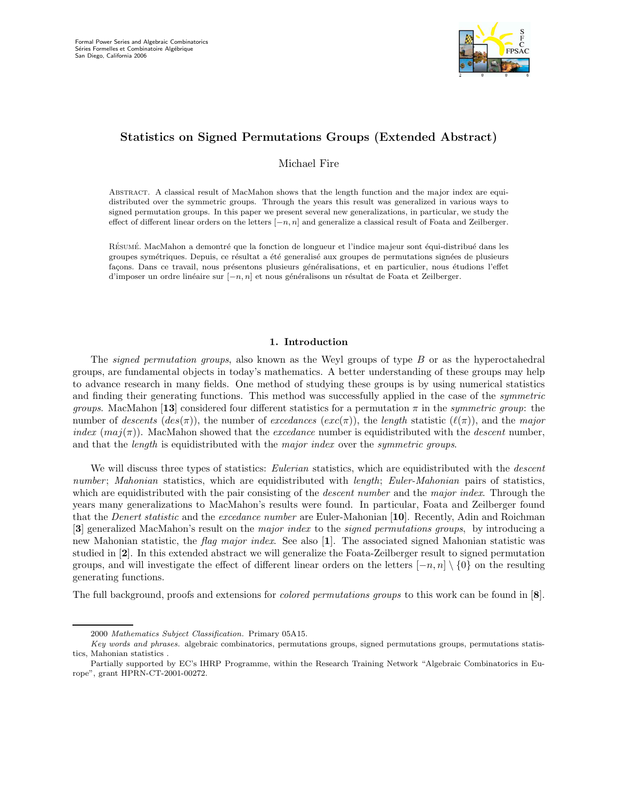

# Statistics on Signed Permutations Groups (Extended Abstract)

Michael Fire

Abstract. A classical result of MacMahon shows that the length function and the major index are equidistributed over the symmetric groups. Through the years this result was generalized in various ways to signed permutation groups. In this paper we present several new generalizations, in particular, we study the effect of different linear orders on the letters  $[-n, n]$  and generalize a classical result of Foata and Zeilberger.

RÉSUMÉ. MacMahon a demontré que la fonction de longueur et l'indice majeur sont équi-distribué dans les groupes symétriques. Depuis, ce résultat a été generalisé aux groupes de permutations signées de plusieurs façons. Dans ce travail, nous présentons plusieurs généralisations, et en particulier, nous étudions l'effet d'imposer un ordre linéaire sur  $[-n, n]$  et nous généralisons un résultat de Foata et Zeilberger.

### 1. Introduction

The *signed permutation groups*, also known as the Weyl groups of type B or as the hyperoctahedral groups, are fundamental objects in today's mathematics. A better understanding of these groups may help to advance research in many fields. One method of studying these groups is by using numerical statistics and finding their generating functions. This method was successfully applied in the case of the *symmetric groups.* MacMahon [13] considered four different statistics for a permutation  $\pi$  in the *symmetric group*: the number of descents  $des(\pi)$ , the number of excedances  $(exc(\pi))$ , the length statistic  $(\ell(\pi))$ , and the major *index* ( $maj(\pi)$ ). MacMahon showed that the *excedance* number is equidistributed with the *descent* number, and that the *length* is equidistributed with the *major index* over the *symmetric groups*.

We will discuss three types of statistics: *Eulerian* statistics, which are equidistributed with the *descent* number; Mahonian statistics, which are equidistributed with length; Euler-Mahonian pairs of statistics, which are equidistributed with the pair consisting of the *descent number* and the *major index*. Through the years many generalizations to MacMahon's results were found. In particular, Foata and Zeilberger found that the *Denert statistic* and the *excedance number* are Euler-Mahonian [10]. Recently, Adin and Roichman [3] generalized MacMahon's result on the major index to the signed permutations groups, by introducing a new Mahonian statistic, the flag major index. See also [1]. The associated signed Mahonian statistic was studied in [2]. In this extended abstract we will generalize the Foata-Zeilberger result to signed permutation groups, and will investigate the effect of different linear orders on the letters  $[-n, n] \setminus \{0\}$  on the resulting generating functions.

The full background, proofs and extensions for colored permutations groups to this work can be found in [8].

<sup>2000</sup> Mathematics Subject Classification. Primary 05A15.

Key words and phrases. algebraic combinatorics, permutations groups, signed permutations groups, permutations statistics, Mahonian statistics .

Partially supported by EC's IHRP Programme, within the Research Training Network "Algebraic Combinatorics in Europe", grant HPRN-CT-2001-00272.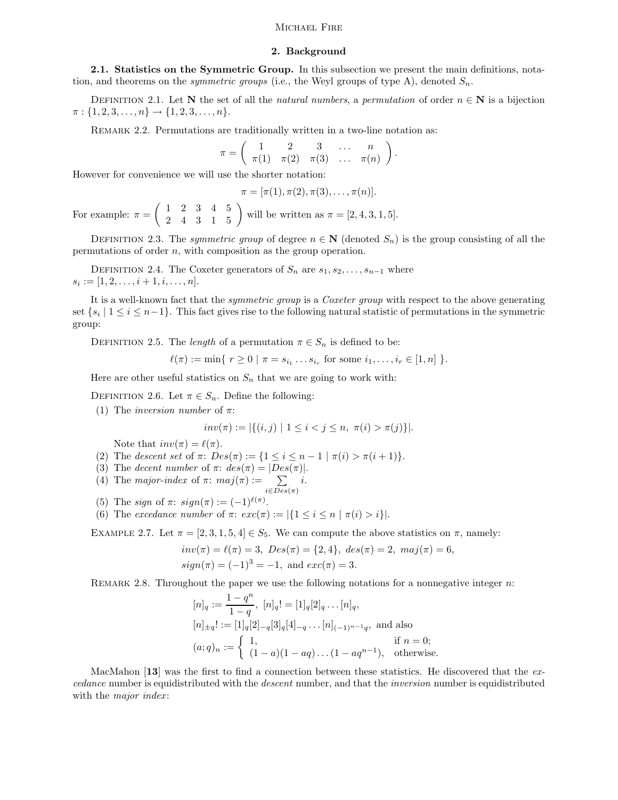## MICHAEL FIRE

### 2. Background

2.1. Statistics on the Symmetric Group. In this subsection we present the main definitions, notation, and theorems on the *symmetric groups* (i.e., the Weyl groups of type A), denoted  $S_n$ .

DEFINITION 2.1. Let N the set of all the natural numbers, a permutation of order  $n \in \mathbb{N}$  is a bijection  $\pi: \{1, 2, 3, \ldots, n\} \rightarrow \{1, 2, 3, \ldots, n\}.$ 

REMARK 2.2. Permutations are traditionally written in a two-line notation as:

$$
\pi = \left( \begin{array}{cccc} 1 & 2 & 3 & \dots & n \\ \pi(1) & \pi(2) & \pi(3) & \dots & \pi(n) \end{array} \right).
$$

However for convenience we will use the shorter notation:

$$
\pi = [\pi(1), \pi(2), \pi(3), \ldots, \pi(n)].
$$

For example:  $\pi = \begin{pmatrix} 1 & 2 & 3 & 4 & 5 \\ 2 & 4 & 3 & 1 & 5 \end{pmatrix}$  will be written as  $\pi = [2, 4, 3, 1, 5]$ .

DEFINITION 2.3. The symmetric group of degree  $n \in \mathbb{N}$  (denoted  $S_n$ ) is the group consisting of all the permutations of order n, with composition as the group operation.

DEFINITION 2.4. The Coxeter generators of  $S_n$  are  $s_1, s_2, \ldots, s_{n-1}$  where  $s_i := [1, 2, \ldots, i + 1, i, \ldots, n].$ 

It is a well-known fact that the *symmetric group* is a *Coxeter group* with respect to the above generating set  $\{s_i \mid 1 \le i \le n-1\}$ . This fact gives rise to the following natural statistic of permutations in the symmetric group:

DEFINITION 2.5. The *length* of a permutation  $\pi \in S_n$  is defined to be:

 $\ell(\pi) := \min\{ r \geq 0 \mid \pi = s_{i_1} \dots s_{i_r} \text{ for some } i_1, \dots, i_r \in [1, n] \}.$ 

Here are other useful statistics on  $S_n$  that we are going to work with:

DEFINITION 2.6. Let  $\pi \in S_n$ . Define the following:

(1) The *inversion number* of  $\pi$ :

$$
inv(\pi) := |\{(i, j) \mid 1 \le i < j \le n, \ \pi(i) > \pi(j)\}|.
$$

Note that  $inv(\pi) = \ell(\pi)$ .

- (2) The descent set of  $\pi$ :  $Des(\pi) := \{1 \leq i \leq n-1 \mid \pi(i) > \pi(i+1)\}.$
- (3) The decent number of  $\pi$ :  $des(\pi) = |Des(\pi)|$ .
- (4) The major-index of  $\pi$ :  $maj(\pi) := \sum$  $i \in Des(\pi)$ i.
- (5) The sign of  $\pi$ :  $sign(\pi) := (-1)^{\ell(\pi)}$ .
- (6) The excedance number of  $\pi: exc(\pi):= |\{1 \leq i \leq n \mid \pi(i) > i\}|.$

EXAMPLE 2.7. Let  $\pi = [2, 3, 1, 5, 4] \in S_5$ . We can compute the above statistics on  $\pi$ , namely:

$$
inv(\pi) = \ell(\pi) = 3
$$
,  $Des(\pi) = \{2, 4\}$ ,  $des(\pi) = 2$ ,  $maj(\pi) = 6$ ,  
 $sign(\pi) = (-1)^3 = -1$ , and  $exc(\pi) = 3$ .

REMARK 2.8. Throughout the paper we use the following notations for a nonnegative integer  $n$ :

$$
[n]_q := \frac{1 - q^n}{1 - q}, [n]_q! = [1]_q[2]_q \dots [n]_q,
$$
  
\n
$$
[n]_{\pm q}! := [1]_q[2]_{-q}[3]_q[4]_{-q} \dots [n]_{(-1)^{n-1}q}, \text{ and also}
$$
  
\n
$$
(a;q)_n := \begin{cases} 1, & \text{if } n = 0; \\ (1 - a)(1 - aq) \dots (1 - aq^{n-1}), & \text{otherwise.} \end{cases}
$$

MacMahon [13] was the first to find a connection between these statistics. He discovered that the excedance number is equidistributed with the descent number, and that the inversion number is equidistributed with the *major* index: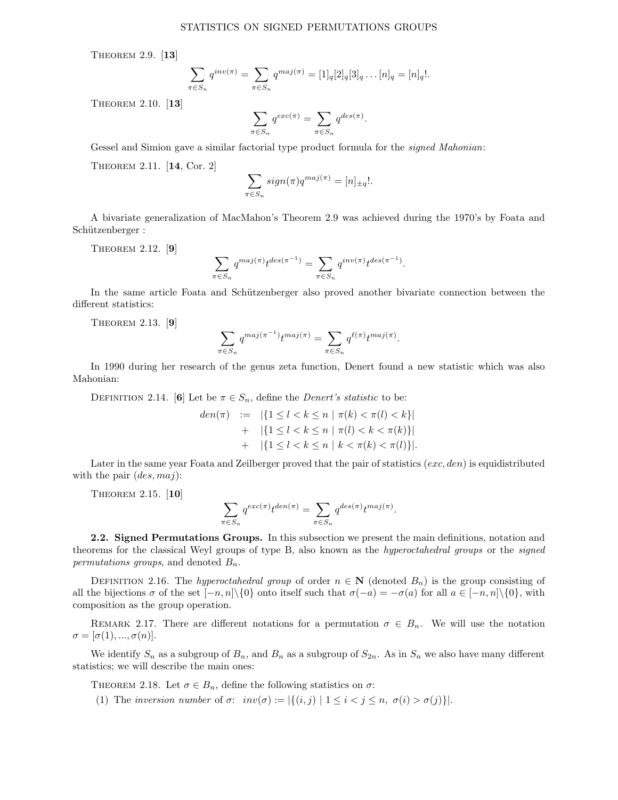THEOREM 2.9. [13]

$$
\sum_{\pi \in S_n} q^{inv(\pi)} = \sum_{\pi \in S_n} q^{maj(\pi)} = [1]_q [2]_q [3]_q \dots [n]_q = [n]_q!.
$$

Theorem 2.10. [13]

$$
\sum_{\pi \in S_n} q^{exc(\pi)} = \sum_{\pi \in S_n} q^{des(\pi)}.
$$

Gessel and Simion gave a similar factorial type product formula for the *signed Mahonian*:

Theorem 2.11. [14, Cor. 2]

$$
\sum_{\pi \in S_n} sign(\pi)q^{maj(\pi)} = [n]_{\pm q}!
$$

A bivariate generalization of MacMahon's Theorem 2.9 was achieved during the 1970's by Foata and Schützenberger :

THEOREM 2.12. [9]

$$
\sum_{\pi \in S_n} q^{maj(\pi)} t^{des(\pi^{-1})} = \sum_{\pi \in S_n} q^{inv(\pi)} t^{des(\pi^{-1})}.
$$

In the same article Foata and Schützenberger also proved another bivariate connection between the different statistics:

Theorem 2.13. [9]

$$
\sum_{\pi \in S_n} q^{maj(\pi^{-1})} t^{maj(\pi)} = \sum_{\pi \in S_n} q^{\ell(\pi)} t^{maj(\pi)}.
$$

In 1990 during her research of the genus zeta function, Denert found a new statistic which was also Mahonian:

DEFINITION 2.14. [6] Let be  $\pi \in S_n$ , define the *Denert's statistic* to be:

$$
den(\pi) := |\{1 \le l < k \le n \mid \pi(k) < \pi(l) < k\}|
$$
  
+ 
$$
|\{1 \le l < k \le n \mid \pi(l) < k < \pi(k)\}|
$$
  
+ 
$$
|\{1 \le l < k \le n \mid k < \pi(k) < \pi(l)\}|.
$$

Later in the same year Foata and Zeilberger proved that the pair of statistics  $(exc, den)$  is equidistributed with the pair  $(des, maj)$ :

Theorem 2.15. [10]

$$
\sum_{\pi \in S_n} q^{exc(\pi)} t^{den(\pi)} = \sum_{\pi \in S_n} q^{des(\pi)} t^{maj(\pi)}
$$

.

2.2. Signed Permutations Groups. In this subsection we present the main definitions, notation and theorems for the classical Weyl groups of type B, also known as the hyperoctahedral groups or the signed permutations groups, and denoted  $B_n$ .

DEFINITION 2.16. The hyperoctahedral group of order  $n \in \mathbb{N}$  (denoted  $B_n$ ) is the group consisting of all the bijections  $\sigma$  of the set  $[-n, n]\setminus\{0\}$  onto itself such that  $\sigma(-a) = -\sigma(a)$  for all  $a \in [-n, n]\setminus\{0\}$ , with composition as the group operation.

REMARK 2.17. There are different notations for a permutation  $\sigma \in B_n$ . We will use the notation  $\sigma = [\sigma(1), ..., \sigma(n)].$ 

We identify  $S_n$  as a subgroup of  $B_n$ , and  $B_n$  as a subgroup of  $S_{2n}$ . As in  $S_n$  we also have many different statistics; we will describe the main ones:

THEOREM 2.18. Let  $\sigma \in B_n$ , define the following statistics on  $\sigma$ :

(1) The inversion number of  $\sigma: inv(\sigma) := |\{(i,j) | 1 \leq i < j \leq n, \sigma(i) > \sigma(j)\}|.$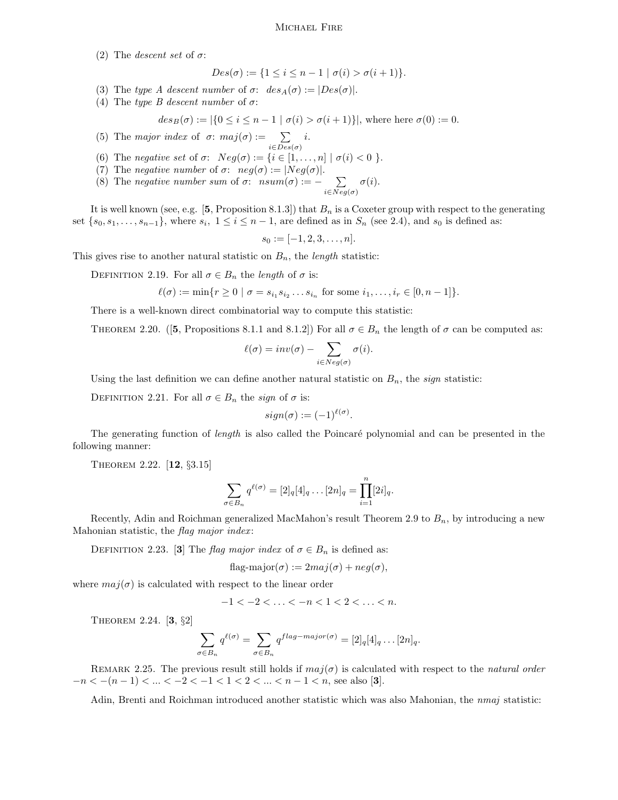#### Michael Fire

(2) The *descent set* of  $\sigma$ :

$$
Des(\sigma) := \{ 1 \le i \le n - 1 \mid \sigma(i) > \sigma(i + 1) \}.
$$

- (3) The type A descent number of  $\sigma$ :  $des_A(\sigma) := |Des(\sigma)|$ .
- (4) The type B descent number of  $\sigma$ :

$$
des_B(\sigma) := |\{0 \le i \le n-1 \mid \sigma(i) > \sigma(i+1)\}|, \text{ where here } \sigma(0) := 0.
$$

(5) The major index of  $\sigma$ : maj $(\sigma) := \sum$  $i \in Des(\sigma)$ i.

- (6) The negative set of  $\sigma$ :  $Neg(\sigma) := \{i \in [1, \ldots, n] \mid \sigma(i) < 0 \}$ .
- (7) The negative number of  $\sigma$ :  $neg(\sigma) := |Neg(\sigma)|$ .
- (8) The negative number sum of  $\sigma$ :  $nsum(\sigma) := -\sum$  $i \in Neg(\sigma)$  $\sigma(i).$

It is well known (see, e.g. [5, Proposition 8.1.3]) that  $B_n$  is a Coxeter group with respect to the generating set  $\{s_0, s_1, \ldots, s_{n-1}\}$ , where  $s_i, 1 \le i \le n-1$ , are defined as in  $S_n$  (see 2.4), and  $s_0$  is defined as:

$$
s_0 := [-1, 2, 3, \dots, n].
$$

This gives rise to another natural statistic on  $B_n$ , the *length* statistic:

DEFINITION 2.19. For all  $\sigma \in B_n$  the *length* of  $\sigma$  is:

$$
\ell(\sigma) := \min\{r \ge 0 \mid \sigma = s_{i_1} s_{i_2} \dots s_{i_n} \text{ for some } i_1, \dots, i_r \in [0, n-1]\}.
$$

There is a well-known direct combinatorial way to compute this statistic:

THEOREM 2.20. ([5, Propositions 8.1.1 and 8.1.2]) For all  $\sigma \in B_n$  the length of  $\sigma$  can be computed as:

$$
\ell(\sigma) = inv(\sigma) - \sum_{i \in Neg(\sigma)} \sigma(i).
$$

Using the last definition we can define another natural statistic on  $B_n$ , the sign statistic:

DEFINITION 2.21. For all  $\sigma \in B_n$  the sign of  $\sigma$  is:

$$
sign(\sigma) := (-1)^{\ell(\sigma)}.
$$

The generating function of *length* is also called the Poincaré polynomial and can be presented in the following manner:

Theorem 2.22. [12, §3.15]

$$
\sum_{\sigma \in B_n} q^{\ell(\sigma)} = [2]_q [4]_q \dots [2n]_q = \prod_{i=1}^n [2i]_q.
$$

Recently, Adin and Roichman generalized MacMahon's result Theorem 2.9 to  $B_n$ , by introducing a new Mahonian statistic, the flag major index:

DEFINITION 2.23. [3] The flag major index of  $\sigma \in B_n$  is defined as:

$$
flag-major(\sigma) := 2maj(\sigma) + neg(\sigma),
$$

where  $maj(\sigma)$  is calculated with respect to the linear order

$$
-1<-2<\ldots<-n<1<2<\ldots
$$

Theorem 2.24. [3, §2]

$$
\sum_{\sigma \in B_n} q^{\ell(\sigma)} = \sum_{\sigma \in B_n} q^{flag-major(\sigma)} = [2]_q[4]_q \dots [2n]_q.
$$

REMARK 2.25. The previous result still holds if  $maj(\sigma)$  is calculated with respect to the natural order  $-n < -(n-1) < ... < -2 < -1 < 1 < 2 < ... < n-1 < n$ , see also [3].

Adin, Brenti and Roichman introduced another statistic which was also Mahonian, the nmaj statistic: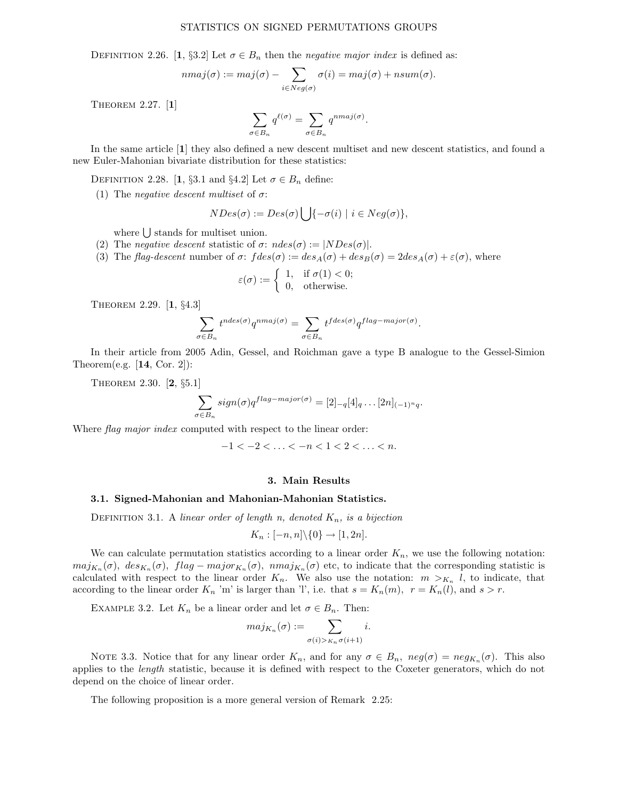# STATISTICS ON SIGNED PERMUTATIONS GROUPS

DEFINITION 2.26. [1, §3.2] Let  $\sigma \in B_n$  then the negative major index is defined as:

$$
nmaj(\sigma) := maj(\sigma) - \sum_{i \in Neg(\sigma)} \sigma(i) = maj(\sigma) + nsum(\sigma).
$$

THEOREM 2.27. [1]

$$
\sum_{\sigma \in B_n} q^{\ell(\sigma)} = \sum_{\sigma \in B_n} q^{nmaj(\sigma)}.
$$

In the same article [1] they also defined a new descent multiset and new descent statistics, and found a new Euler-Mahonian bivariate distribution for these statistics:

DEFINITION 2.28. [1, §3.1 and §4.2] Let  $\sigma \in B_n$  define:

(1) The *negative descent multiset* of  $\sigma$ :

$$
NDes(\sigma) := Des(\sigma) \bigcup \{-\sigma(i) \mid i \in Neg(\sigma)\},\
$$

where  $\bigcup$  stands for multiset union.

- (2) The negative descent statistic of  $\sigma$ :  $ndes(\sigma) := |NDes(\sigma)|$ .
- (3) The flag-descent number of  $\sigma$ :  $fdes(\sigma) := des_A(\sigma) + des_B(\sigma) = 2des_A(\sigma) + \varepsilon(\sigma)$ , where

$$
\varepsilon(\sigma) := \begin{cases} 1, & \text{if } \sigma(1) < 0; \\ 0, & \text{otherwise.} \end{cases}
$$

Theorem 2.29. [1, §4.3]

$$
\sum_{\sigma \in B_n} t^{ndes(\sigma)} q^{nmaj(\sigma)} = \sum_{\sigma \in B_n} t^{fdes(\sigma)} q^{flag-major(\sigma)}.
$$

In their article from 2005 Adin, Gessel, and Roichman gave a type B analogue to the Gessel-Simion Theorem(e.g.  $[14, \text{Cor. 2}]:$ 

Theorem 2.30. [2, §5.1]

$$
\sum_{\sigma \in B_n} sign(\sigma)q^{flag-major(\sigma)} = [2]_{-q}[4]_q \dots [2n]_{(-1)^n q}.
$$

Where *flag major index* computed with respect to the linear order:

 $-1 < -2 < \ldots < -n < 1 < 2 < \ldots < n$ .

#### 3. Main Results

#### 3.1. Signed-Mahonian and Mahonian-Mahonian Statistics.

DEFINITION 3.1. A linear order of length n, denoted  $K_n$ , is a bijection

$$
K_n : [-n, n] \backslash \{0\} \to [1, 2n].
$$

We can calculate permutation statistics according to a linear order  $K_n$ , we use the following notation:  $maj_{K_n}(\sigma)$ ,  $des_{K_n}(\sigma)$ ,  $flag - major_{K_n}(\sigma)$ ,  $nmaj_{K_n}(\sigma)$  etc, to indicate that the corresponding statistic is calculated with respect to the linear order  $K_n$ . We also use the notation:  $m >_{K_n} l$ , to indicate, that according to the linear order  $K_n$  'm' is larger than 'l', i.e. that  $s = K_n(m)$ ,  $r = K_n(l)$ , and  $s > r$ .

EXAMPLE 3.2. Let  $K_n$  be a linear order and let  $\sigma \in B_n$ . Then:

$$
maj_{K_n}(\sigma) := \sum_{\sigma(i) > K_n} \sigma(i+1)} i.
$$

NOTE 3.3. Notice that for any linear order  $K_n$ , and for any  $\sigma \in B_n$ ,  $neg(\sigma) = neg_{K_n}(\sigma)$ . This also applies to the *length* statistic, because it is defined with respect to the Coxeter generators, which do not depend on the choice of linear order.

The following proposition is a more general version of Remark 2.25: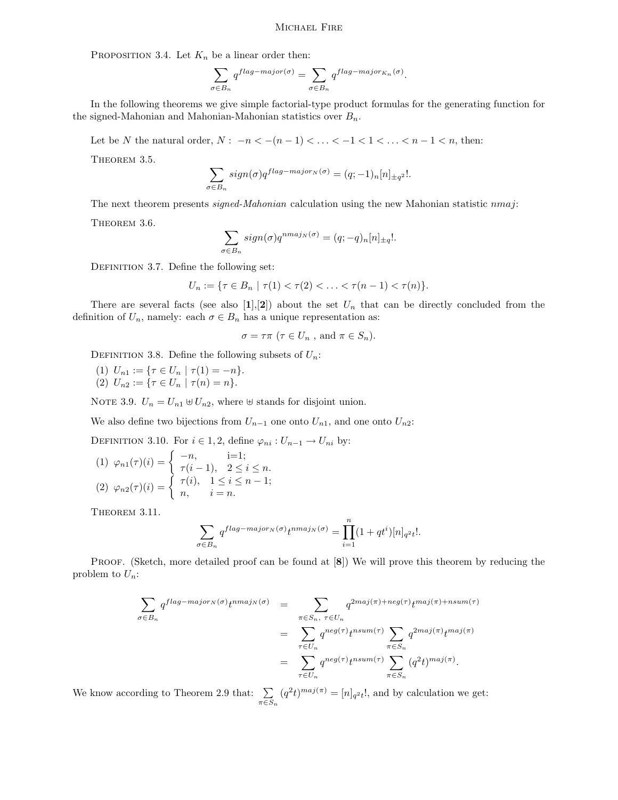## Michael Fire

PROPOSITION 3.4. Let  $K_n$  be a linear order then:

$$
\sum_{\sigma\in B_n}q^{flag-major(\sigma)}=\sum_{\sigma\in B_n}q^{flag-major_{K_n}(\sigma)}.
$$

In the following theorems we give simple factorial-type product formulas for the generating function for the signed-Mahonian and Mahonian-Mahonian statistics over  $B_n$ .

Let be N the natural order,  $N: -n < -(n-1) < \ldots < -1 < 1 < \ldots < n-1 < n$ , then:

THEOREM 3.5.

$$
\sum_{\sigma \in B_n} sign(\sigma)q^{flag-major_N(\sigma)} = (q; -1)_n [n]_{\pm q^2}!.
$$

The next theorem presents signed-Mahonian calculation using the new Mahonian statistic  $nmaj$ : THEOREM 3.6

$$
\sum_{\sigma \in B_n} sign(\sigma) q^{nmaj_N(\sigma)} = (q; -q)_n [n]_{\pm q}!.
$$

DEFINITION 3.7. Define the following set:

$$
U_n := \{ \tau \in B_n \mid \tau(1) < \tau(2) < \ldots < \tau(n-1) < \tau(n) \}.
$$

There are several facts (see also [1], [2]) about the set  $U_n$  that can be directly concluded from the definition of  $U_n$ , namely: each  $\sigma \in B_n$  has a unique representation as:

$$
\sigma = \tau \pi \ (\tau \in U_n \ , \text{ and } \pi \in S_n).
$$

DEFINITION 3.8. Define the following subsets of  $U_n$ :

(1)  $U_{n1} := \{ \tau \in U_n \mid \tau(1) = -n \}.$ (2)  $U_{n2} := \{ \tau \in U_n \mid \tau(n) = n \}.$ 

NOTE 3.9.  $U_n = U_{n1} \oplus U_{n2}$ , where  $\oplus$  stands for disjoint union.

We also define two bijections from  $U_{n-1}$  one onto  $U_{n1}$ , and one onto  $U_{n2}$ :

DEFINITION 3.10. For  $i \in 1, 2$ , define  $\varphi_{ni}: U_{n-1} \to U_{ni}$  by:

(1) 
$$
\varphi_{n1}(\tau)(i) = \begin{cases} -n, & i=1; \\ \tau(i-1), & 2 \leq i \leq n. \end{cases}
$$
  
\n(2)  $\varphi_{n2}(\tau)(i) = \begin{cases} \tau(i), & 1 \leq i \leq n-1; \\ n, & i = n. \end{cases}$ 

THEOREM 3.11.

$$
\sum_{\sigma \in B_n} q^{flag-major_N(\sigma)} t^{nmaj_N(\sigma)} = \prod_{i=1}^n (1+qt^i)[n]_{q^2t}!.
$$

PROOF. (Sketch, more detailed proof can be found at  $[8]$ ) We will prove this theorem by reducing the problem to  $U_n$ :

$$
\sum_{\sigma \in B_n} q^{flag-major_N(\sigma)} t^{nmaj_N(\sigma)} = \sum_{\substack{\pi \in S_n, \ \tau \in U_n \\ \tau \in U_n}} q^{2maj(\pi) + neg(\tau)} t^{maj(\pi) + nsum(\tau)}
$$
\n
$$
= \sum_{\substack{\pi \in S_n \\ \tau \in U_n}} q^{neg(\tau)} t^{nsum(\tau)} \sum_{\pi \in S_n} q^{2maj(\pi)} t^{maj(\pi)}
$$

We know according to Theorem 2.9 that:  $\sum$  $\pi \overline{\in} \overline{S}_n$  $(q^2t)^{maj(\pi)} = [n]_{q^2t}!$ , and by calculation we get: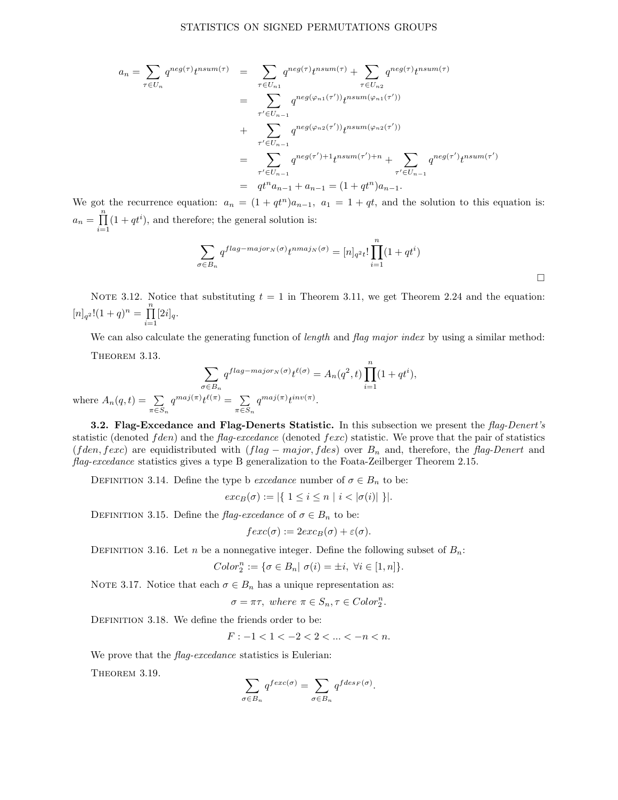$$
a_n = \sum_{\tau \in U_n} q^{neg(\tau)} t^{nsum(\tau)} = \sum_{\tau \in U_{n1}} q^{neg(\tau)} t^{nsum(\tau)} + \sum_{\tau \in U_{n2}} q^{neg(\tau)} t^{nsum(\tau)}
$$
  
\n
$$
= \sum_{\tau' \in U_{n-1}} q^{neg(\varphi_{n1}(\tau'))} t^{nsum(\varphi_{n1}(\tau'))}
$$
  
\n
$$
+ \sum_{\tau' \in U_{n-1}} q^{neg(\varphi_{n2}(\tau'))} t^{nsum(\varphi_{n2}(\tau'))}
$$
  
\n
$$
= \sum_{\tau' \in U_{n-1}} q^{neg(\tau') + 1} t^{nsum(\tau') + n} + \sum_{\tau' \in U_{n-1}} q^{neg(\tau')} t^{nsum(\tau')}
$$
  
\n
$$
= q t^n a_{n-1} + a_{n-1} = (1 + qt^n) a_{n-1}.
$$

We got the recurrence equation:  $a_n = (1 + qt^n)a_{n-1}$ ,  $a_1 = 1 + qt$ , and the solution to this equation is:  $a_n = \prod^n$  $i=1$  $(1+qt^i)$ , and therefore; the general solution is:

$$
\sum_{\sigma \in B_n} q^{flag-major_N(\sigma)} t^{nmaj_N(\sigma)} = [n]_{q^2t}! \prod_{i=1}^n (1+qt^i)
$$

NOTE 3.12. Notice that substituting  $t = 1$  in Theorem 3.11, we get Theorem 2.24 and the equation:  $[n]_{q^2}!(1+q)^n = \prod^n$  $\prod_{i=1} [2i]_q.$ 

We can also calculate the generating function of *length* and *flag major index* by using a similar method: THEOREM 3.13.

$$
\sum_{\sigma \in B_n} q^{flag-major_N(\sigma)} t^{\ell(\sigma)} = A_n(q^2, t) \prod_{i=1}^n (1 + qt^i),
$$
  
where  $A_n(q, t) = \sum_{\pi \in S_n} q^{maj(\pi)} t^{\ell(\pi)} = \sum_{\pi \in S_n} q^{maj(\pi)} t^{inv(\pi)}.$ 

**3.2. Flag-Excedance and Flag-Denerts Statistic.** In this subsection we present the flag-Denert's statistic (denoted  $fden$ ) and the flag-excedance (denoted  $fexc$ ) statistic. We prove that the pair of statistics (fden, fexc) are equidistributed with  $(\text{flag} - \text{major}, \text{fdes})$  over  $B_n$  and, therefore, the flag-Denert and flag-excedance statistics gives a type B generalization to the Foata-Zeilberger Theorem 2.15.

DEFINITION 3.14. Define the type b *excedance* number of  $\sigma \in B_n$  to be:

$$
exc_B(\sigma) := |\{ 1 \le i \le n | i < |\sigma(i)| \}|.
$$

DEFINITION 3.15. Define the flag-excedance of  $\sigma \in B_n$  to be:

$$
fexc(\sigma) := 2exc_B(\sigma) + \varepsilon(\sigma).
$$

DEFINITION 3.16. Let n be a nonnegative integer. Define the following subset of  $B_n$ :

$$
Color_2^n := \{ \sigma \in B_n | \sigma(i) = \pm i, \ \forall i \in [1, n] \}.
$$

NOTE 3.17. Notice that each  $\sigma \in B_n$  has a unique representation as:

 $\sigma = \pi \tau$ , where  $\pi \in S_n$ ,  $\tau \in Color_2^n$ .

DEFINITION 3.18. We define the friends order to be:

$$
F: -1 < 1 < -2 < 2 < \dots < -n < n.
$$

We prove that the *flag-excedance* statistics is Eulerian:

THEOREM 3.19.

$$
\sum_{\sigma \in B_n} q^{fexc(\sigma)} = \sum_{\sigma \in B_n} q^{fdes_F(\sigma)}.
$$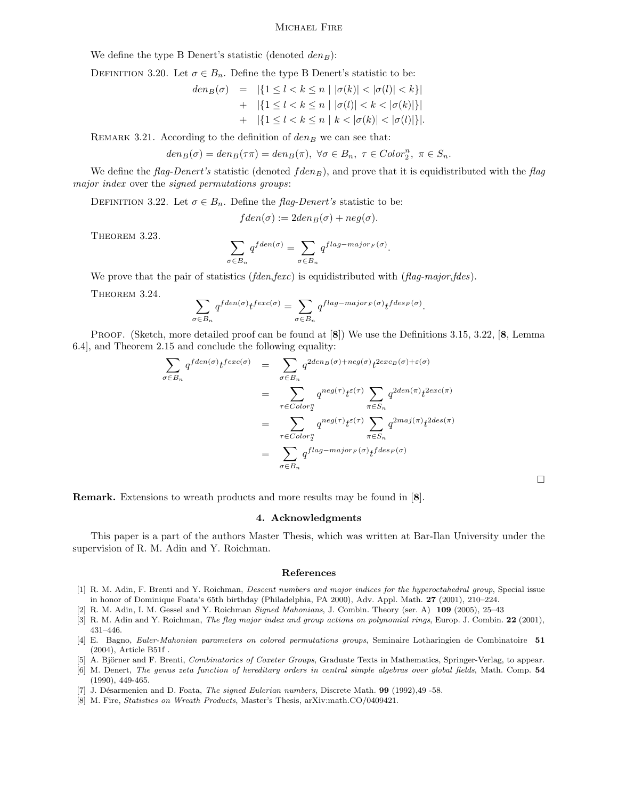#### Michael Fire

We define the type B Denert's statistic (denoted  $den_B$ ):

DEFINITION 3.20. Let  $\sigma \in B_n$ . Define the type B Denert's statistic to be:

$$
den_B(\sigma) = |\{1 \le l < k \le n \mid |\sigma(k)| < |\sigma(l)| < k\}|
$$
  
+ 
$$
|\{1 \le l < k \le n \mid |\sigma(l)| < k < |\sigma(k)|\}|
$$
  
+ 
$$
|\{1 \le l < k \le n \mid k < |\sigma(k)| < |\sigma(l)|\}|.
$$

REMARK 3.21. According to the definition of  $den_B$  we can see that:

$$
den_B(\sigma)=den_B(\tau\pi)=den_B(\pi),\ \forall \sigma\in B_n,\ \tau\in Color_2^n,\ \pi\in S_n.
$$

We define the flag-Denert's statistic (denoted  $fden_B$ ), and prove that it is equidistributed with the flag major index over the signed permutations groups:

DEFINITION 3.22. Let  $\sigma \in B_n$ . Define the flag-Denert's statistic to be:

$$
fden(\sigma) := 2den_B(\sigma) + neg(\sigma).
$$

THEOREM 3.23.

$$
\sum_{\sigma \in B_n} q^{fden(\sigma)} = \sum_{\sigma \in B_n} q^{flag-major_F(\sigma)}.
$$

We prove that the pair of statistics (fden,fexc) is equidistributed with (flag-major,fdes).

THEOREM 3.24.

$$
\sum_{\sigma \in B_n} q^{fden(\sigma)} t^{fexc(\sigma)} = \sum_{\sigma \in B_n} q^{flag-major_F(\sigma)} t^{fdes_F(\sigma)}.
$$

PROOF. (Sketch, more detailed proof can be found at [8]) We use the Definitions 3.15, 3.22, [8, Lemma 6.4], and Theorem 2.15 and conclude the following equality:

$$
\sum_{\sigma \in B_n} q^{fden(\sigma)} t^{fexc(\sigma)} = \sum_{\sigma \in B_n} q^{2den_B(\sigma) + neg(\sigma)} t^{2exc_B(\sigma) + \varepsilon(\sigma)}
$$
\n
$$
= \sum_{\tau \in Color_2^n} q^{neg(\tau)} t^{\varepsilon(\tau)} \sum_{\pi \in S_n} q^{2den(\pi)} t^{2exc(\pi)}
$$
\n
$$
= \sum_{\tau \in Color_2^n} q^{neg(\tau)} t^{\varepsilon(\tau)} \sum_{\pi \in S_n} q^{2maj(\pi)} t^{2des(\pi)}
$$
\n
$$
= \sum_{\sigma \in B_n} q^{flag - major_F(\sigma)} t^{fdes_F(\sigma)}
$$

 $\Box$ 

Remark. Extensions to wreath products and more results may be found in [8].

# 4. Acknowledgments

This paper is a part of the authors Master Thesis, which was written at Bar-Ilan University under the supervision of R. M. Adin and Y. Roichman.

#### References

[1] R. M. Adin, F. Brenti and Y. Roichman, Descent numbers and major indices for the hyperoctahedral group, Special issue in honor of Dominique Foata's 65th birthday (Philadelphia, PA 2000), Adv. Appl. Math. 27 (2001), 210–224.

[2] R. M. Adin, I. M. Gessel and Y. Roichman Signed Mahonians, J. Combin. Theory (ser. A) 109 (2005), 25–43

- [3] R. M. Adin and Y. Roichman, The flag major index and group actions on polynomial rings, Europ. J. Combin. 22 (2001), 431–446.
- [4] E. Bagno, Euler-Mahonian parameters on colored permutations groups, Seminaire Lotharingien de Combinatoire 51 (2004), Article B51f .
- [5] A. Björner and F. Brenti, Combinatorics of Coxeter Groups, Graduate Texts in Mathematics, Springer-Verlag, to appear. [6] M. Denert, The genus zeta function of hereditary orders in central simple algebras over global fields, Math. Comp. 54 (1990), 449-465.
- [7] J. Désarmenien and D. Foata, The signed Eulerian numbers, Discrete Math. 99 (1992), 49 -58.
- [8] M. Fire, Statistics on Wreath Products, Master's Thesis, arXiv:math.CO/0409421.